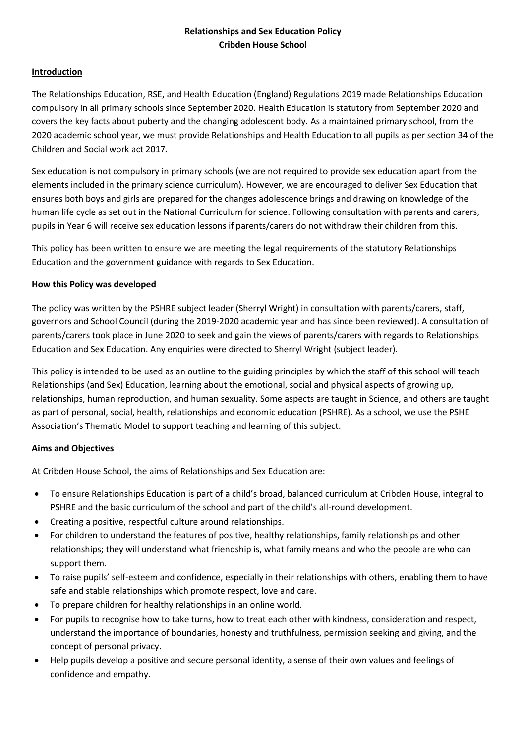# **Relationships and Sex Education Policy Cribden House School**

## **Introduction**

The Relationships Education, RSE, and Health Education (England) Regulations 2019 made Relationships Education compulsory in all primary schools since September 2020. Health Education is statutory from September 2020 and covers the key facts about puberty and the changing adolescent body. As a maintained primary school, from the 2020 academic school year, we must provide Relationships and Health Education to all pupils as per section 34 of the Children and Social work act 2017.

Sex education is not compulsory in primary schools (we are not required to provide sex education apart from the elements included in the primary science curriculum). However, we are encouraged to deliver Sex Education that ensures both boys and girls are prepared for the changes adolescence brings and drawing on knowledge of the human life cycle as set out in the National Curriculum for science. Following consultation with parents and carers, pupils in Year 6 will receive sex education lessons if parents/carers do not withdraw their children from this.

This policy has been written to ensure we are meeting the legal requirements of the statutory Relationships Education and the government guidance with regards to Sex Education.

## **How this Policy was developed**

The policy was written by the PSHRE subject leader (Sherryl Wright) in consultation with parents/carers, staff, governors and School Council (during the 2019-2020 academic year and has since been reviewed). A consultation of parents/carers took place in June 2020 to seek and gain the views of parents/carers with regards to Relationships Education and Sex Education. Any enquiries were directed to Sherryl Wright (subject leader).

This policy is intended to be used as an outline to the guiding principles by which the staff of this school will teach Relationships (and Sex) Education, learning about the emotional, social and physical aspects of growing up, relationships, human reproduction, and human sexuality. Some aspects are taught in Science, and others are taught as part of personal, social, health, relationships and economic education (PSHRE). As a school, we use the PSHE Association's Thematic Model to support teaching and learning of this subject.

## **Aims and Objectives**

At Cribden House School, the aims of Relationships and Sex Education are:

- To ensure Relationships Education is part of a child's broad, balanced curriculum at Cribden House, integral to PSHRE and the basic curriculum of the school and part of the child's all-round development.
- Creating a positive, respectful culture around relationships.
- For children to understand the features of positive, healthy relationships, family relationships and other relationships; they will understand what friendship is, what family means and who the people are who can support them.
- To raise pupils' self-esteem and confidence, especially in their relationships with others, enabling them to have safe and stable relationships which promote respect, love and care.
- To prepare children for healthy relationships in an online world.
- For pupils to recognise how to take turns, how to treat each other with kindness, consideration and respect, understand the importance of boundaries, honesty and truthfulness, permission seeking and giving, and the concept of personal privacy.
- Help pupils develop a positive and secure personal identity, a sense of their own values and feelings of confidence and empathy.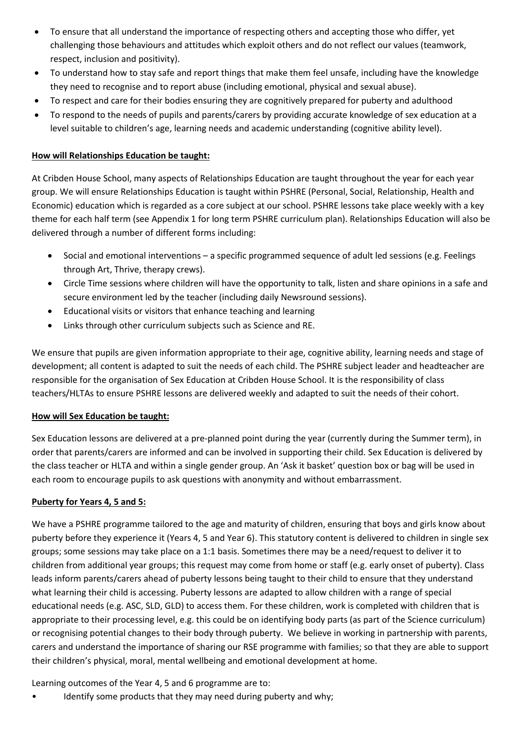- To ensure that all understand the importance of respecting others and accepting those who differ, yet challenging those behaviours and attitudes which exploit others and do not reflect our values (teamwork, respect, inclusion and positivity).
- To understand how to stay safe and report things that make them feel unsafe, including have the knowledge they need to recognise and to report abuse (including emotional, physical and sexual abuse).
- To respect and care for their bodies ensuring they are cognitively prepared for puberty and adulthood
- To respond to the needs of pupils and parents/carers by providing accurate knowledge of sex education at a level suitable to children's age, learning needs and academic understanding (cognitive ability level).

## **How will Relationships Education be taught:**

At Cribden House School, many aspects of Relationships Education are taught throughout the year for each year group. We will ensure Relationships Education is taught within PSHRE (Personal, Social, Relationship, Health and Economic) education which is regarded as a core subject at our school. PSHRE lessons take place weekly with a key theme for each half term (see Appendix 1 for long term PSHRE curriculum plan). Relationships Education will also be delivered through a number of different forms including:

- Social and emotional interventions a specific programmed sequence of adult led sessions (e.g. Feelings through Art, Thrive, therapy crews).
- Circle Time sessions where children will have the opportunity to talk, listen and share opinions in a safe and secure environment led by the teacher (including daily Newsround sessions).
- Educational visits or visitors that enhance teaching and learning
- Links through other curriculum subjects such as Science and RE.

We ensure that pupils are given information appropriate to their age, cognitive ability, learning needs and stage of development; all content is adapted to suit the needs of each child. The PSHRE subject leader and headteacher are responsible for the organisation of Sex Education at Cribden House School. It is the responsibility of class teachers/HLTAs to ensure PSHRE lessons are delivered weekly and adapted to suit the needs of their cohort.

## **How will Sex Education be taught:**

Sex Education lessons are delivered at a pre-planned point during the year (currently during the Summer term), in order that parents/carers are informed and can be involved in supporting their child. Sex Education is delivered by the class teacher or HLTA and within a single gender group. An 'Ask it basket' question box or bag will be used in each room to encourage pupils to ask questions with anonymity and without embarrassment.

## **Puberty for Years 4, 5 and 5:**

We have a PSHRE programme tailored to the age and maturity of children, ensuring that boys and girls know about puberty before they experience it (Years 4, 5 and Year 6). This statutory content is delivered to children in single sex groups; some sessions may take place on a 1:1 basis. Sometimes there may be a need/request to deliver it to children from additional year groups; this request may come from home or staff (e.g. early onset of puberty). Class leads inform parents/carers ahead of puberty lessons being taught to their child to ensure that they understand what learning their child is accessing. Puberty lessons are adapted to allow children with a range of special educational needs (e.g. ASC, SLD, GLD) to access them. For these children, work is completed with children that is appropriate to their processing level, e.g. this could be on identifying body parts (as part of the Science curriculum) or recognising potential changes to their body through puberty. We believe in working in partnership with parents, carers and understand the importance of sharing our RSE programme with families; so that they are able to support their children's physical, moral, mental wellbeing and emotional development at home.

Learning outcomes of the Year 4, 5 and 6 programme are to:

• Identify some products that they may need during puberty and why;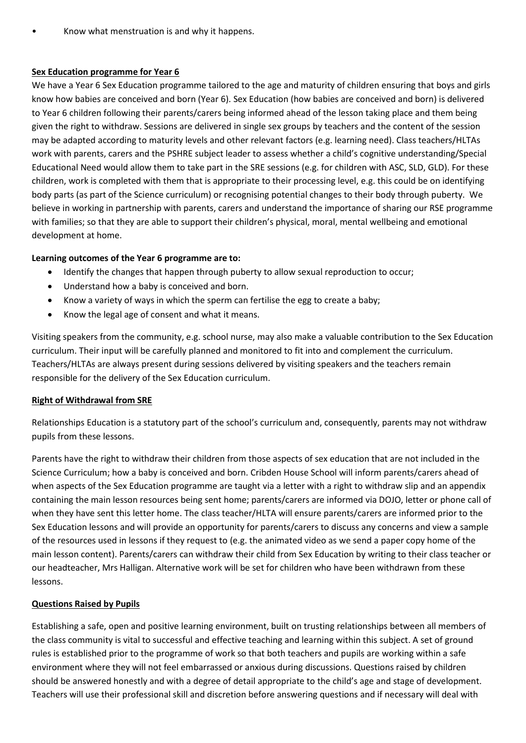## **Sex Education programme for Year 6**

We have a Year 6 Sex Education programme tailored to the age and maturity of children ensuring that boys and girls know how babies are conceived and born (Year 6). Sex Education (how babies are conceived and born) is delivered to Year 6 children following their parents/carers being informed ahead of the lesson taking place and them being given the right to withdraw. Sessions are delivered in single sex groups by teachers and the content of the session may be adapted according to maturity levels and other relevant factors (e.g. learning need). Class teachers/HLTAs work with parents, carers and the PSHRE subject leader to assess whether a child's cognitive understanding/Special Educational Need would allow them to take part in the SRE sessions (e.g. for children with ASC, SLD, GLD). For these children, work is completed with them that is appropriate to their processing level, e.g. this could be on identifying body parts (as part of the Science curriculum) or recognising potential changes to their body through puberty. We believe in working in partnership with parents, carers and understand the importance of sharing our RSE programme with families; so that they are able to support their children's physical, moral, mental wellbeing and emotional development at home.

## **Learning outcomes of the Year 6 programme are to:**

- Identify the changes that happen through puberty to allow sexual reproduction to occur;
- Understand how a baby is conceived and born.
- Know a variety of ways in which the sperm can fertilise the egg to create a baby;
- Know the legal age of consent and what it means.

Visiting speakers from the community, e.g. school nurse, may also make a valuable contribution to the Sex Education curriculum. Their input will be carefully planned and monitored to fit into and complement the curriculum. Teachers/HLTAs are always present during sessions delivered by visiting speakers and the teachers remain responsible for the delivery of the Sex Education curriculum.

## **Right of Withdrawal from SRE**

Relationships Education is a statutory part of the school's curriculum and, consequently, parents may not withdraw pupils from these lessons.

Parents have the right to withdraw their children from those aspects of sex education that are not included in the Science Curriculum; how a baby is conceived and born. Cribden House School will inform parents/carers ahead of when aspects of the Sex Education programme are taught via a letter with a right to withdraw slip and an appendix containing the main lesson resources being sent home; parents/carers are informed via DOJO, letter or phone call of when they have sent this letter home. The class teacher/HLTA will ensure parents/carers are informed prior to the Sex Education lessons and will provide an opportunity for parents/carers to discuss any concerns and view a sample of the resources used in lessons if they request to (e.g. the animated video as we send a paper copy home of the main lesson content). Parents/carers can withdraw their child from Sex Education by writing to their class teacher or our headteacher, Mrs Halligan. Alternative work will be set for children who have been withdrawn from these lessons.

## **Questions Raised by Pupils**

Establishing a safe, open and positive learning environment, built on trusting relationships between all members of the class community is vital to successful and effective teaching and learning within this subject. A set of ground rules is established prior to the programme of work so that both teachers and pupils are working within a safe environment where they will not feel embarrassed or anxious during discussions. Questions raised by children should be answered honestly and with a degree of detail appropriate to the child's age and stage of development. Teachers will use their professional skill and discretion before answering questions and if necessary will deal with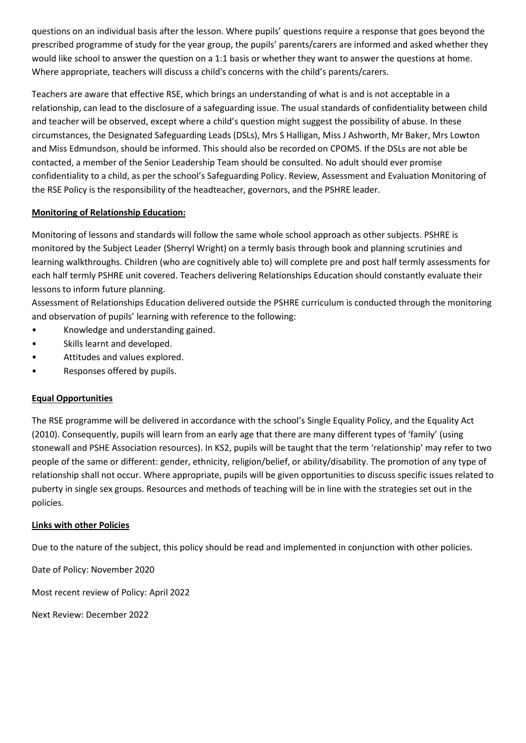questions on an individual basis after the lesson. Where pupils' questions require a response that goes beyond the prescribed programme of study for the year group, the pupils' parents/carers are informed and asked whether they would like school to answer the question on a 1:1 basis or whether they want to answer the questions at home. Where appropriate, teachers will discuss a child's concerns with the child's parents/carers.

Teachers are aware that effective RSE, which brings an understanding of what is and is not acceptable in a relationship, can lead to the disclosure of a safeguarding issue. The usual standards of confidentiality between child and teacher will be observed, except where a child's question might suggest the possibility of abuse. In these circumstances, the Designated Safeguarding Leads (DSLs), Mrs S Halligan, Miss J Ashworth, Mr Baker, Mrs Lowton and Miss Edmundson, should be informed. This should also be recorded on CPOMS. If the DSLs are not able be contacted, a member of the Senior Leadership Team should be consulted. No adult should ever promise confidentiality to a child, as per the school's Safeguarding Policy. Review, Assessment and Evaluation Monitoring of the RSE Policy is the responsibility of the headteacher, governors, and the PSHRE leader.

## **Monitoring of Relationship Education:**

Monitoring of lessons and standards will follow the same whole school approach as other subjects. PSHRE is monitored by the Subject Leader (Sherryl Wright) on a termly basis through book and planning scrutinies and learning walkthroughs. Children (who are cognitively able to) will complete pre and post half termly assessments for each half termly PSHRE unit covered. Teachers delivering Relationships Education should constantly evaluate their lessons to inform future planning.

Assessment of Relationships Education delivered outside the PSHRE curriculum is conducted through the monitoring and observation of pupils' learning with reference to the following:

- Knowledge and understanding gained.
- Skills learnt and developed.
- Attitudes and values explored.
- Responses offered by pupils.

## **Equal Opportunities**

The RSE programme will be delivered in accordance with the school's Single Equality Policy, and the Equality Act (2010). Consequently, pupils will learn from an early age that there are many different types of 'family' (using stonewall and PSHE Association resources). In KS2, pupils will be taught that the term 'relationship' may refer to two people of the same or different: gender, ethnicity, religion/belief, or ability/disability. The promotion of any type of relationship shall not occur. Where appropriate, pupils will be given opportunities to discuss specific issues related to puberty in single sex groups. Resources and methods of teaching will be in line with the strategies set out in the policies.

## **Links with other Policies**

Due to the nature of the subject, this policy should be read and implemented in conjunction with other policies.

Date of Policy: November 2020

Most recent review of Policy: April 2022

Next Review: December 2022